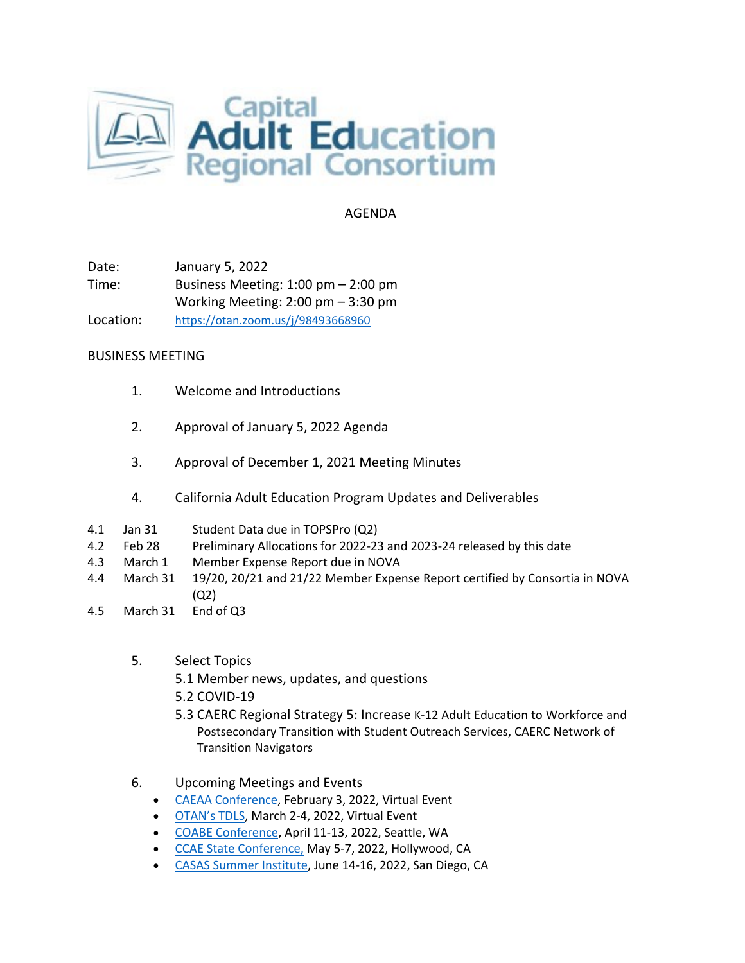

## AGENDA

Date: January 5, 2022 Time: Business Meeting: 1:00 pm – 2:00 pm Working Meeting: 2:00 pm – 3:30 pm Location: <https://otan.zoom.us/j/98493668960>

## BUSINESS MEETING

- 1. Welcome and Introductions
- 2. Approval of January 5, 2022 Agenda
- 3. Approval of December 1, 2021 Meeting Minutes
- 4. California Adult Education Program Updates and Deliverables
- 4.1 Jan 31 Student Data due in TOPSPro (Q2)
- 4.2 Feb 28 Preliminary Allocations for 2022-23 and 2023-24 released by this date
- 4.3 March 1 Member Expense Report due in NOVA
- 4.4 March 31 19/20, 20/21 and 21/22 Member Expense Report certified by Consortia in NOVA (Q2)
- 4.5 March 31 End of Q3
	- 5. Select Topics
		- 5.1 Member news, updates, and questions
		- 5.2 COVID-19
		- 5.3 CAERC Regional Strategy 5: Increase K-12 Adult Education to Workforce and Postsecondary Transition with Student Outreach Services, CAERC Network of Transition Navigators
	- 6. Upcoming Meetings and Events
		- [CAEAA Conference,](https://www.caeaa.org/2022-conference-registration.html) February 3, 2022, Virtual Event
		- [OTAN's TDLS,](https://tdls.otan.us/) March 2-4, 2022, Virtual Event
		- [COABE Conference,](https://coabe.org/2022-coabe-national-conference/) April 11-13, 2022, Seattle, WA
		- [CCAE State Conference,](https://www.ccaestate.org/conference-2022.html) May 5-7, 2022, Hollywood, CA
		- [CASAS Summer Institute,](https://www.casas.org/training-and-support/SI/prepare-for-2022) June 14-16, 2022, San Diego, CA